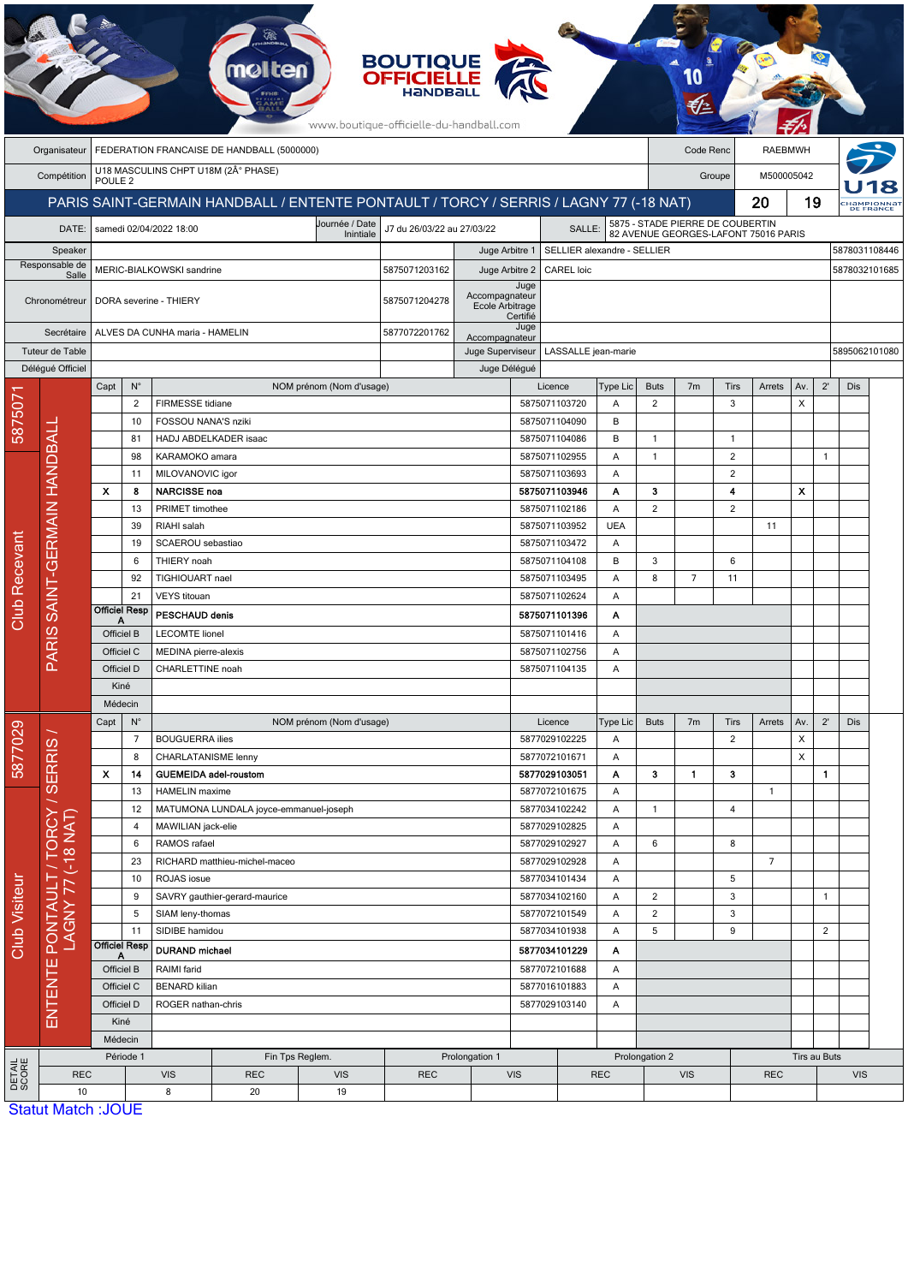|                           |                                 |                                                                        |                                      |                                                              | mol                   |                                                                                       | <b>BOUTIQUE<br/>OFFICIELLE</b><br>www.boutique-officielle-du-handball.com |                                   |                                                                                    |                                                                |                    |                  |                |                  |                            |                |                   |               |  |
|---------------------------|---------------------------------|------------------------------------------------------------------------|--------------------------------------|--------------------------------------------------------------|-----------------------|---------------------------------------------------------------------------------------|---------------------------------------------------------------------------|-----------------------------------|------------------------------------------------------------------------------------|----------------------------------------------------------------|--------------------|------------------|----------------|------------------|----------------------------|----------------|-------------------|---------------|--|
|                           | Organisateur                    | FEDERATION FRANCAISE DE HANDBALL (5000000)<br>Code Renc                |                                      |                                                              |                       |                                                                                       |                                                                           |                                   |                                                                                    |                                                                | <b>RAEBMWH</b>     |                  |                |                  |                            |                |                   |               |  |
|                           | Compétition                     |                                                                        | U18 MASCULINS CHPT U18M (2° PHASE)   |                                                              |                       |                                                                                       |                                                                           |                                   |                                                                                    |                                                                |                    | Groupe           |                |                  | M500005042                 |                |                   |               |  |
|                           |                                 | POULE <sub>2</sub>                                                     |                                      |                                                              |                       |                                                                                       |                                                                           |                                   |                                                                                    |                                                                |                    |                  |                |                  |                            | 19             |                   |               |  |
|                           |                                 |                                                                        |                                      |                                                              |                       | PARIS SAINT-GERMAIN HANDBALL / ENTENTE PONTAULT / TORCY / SERRIS / LAGNY 77 (-18 NAT) |                                                                           |                                   |                                                                                    |                                                                |                    |                  | 20             |                  |                            |                | <b>СНАМРІОNNA</b> |               |  |
| DATE:                     |                                 |                                                                        |                                      | samedi 02/04/2022 18:00                                      |                       | J7 du 26/03/22 au 27/03/22                                                            |                                                                           |                                   | 5875 - STADE PIERRE DE COUBERTIN<br>SALLE:<br>82 AVENUE GEORGES-LAFONT 75016 PARIS |                                                                |                    |                  |                |                  |                            |                |                   |               |  |
| Speaker<br>Responsable de |                                 |                                                                        |                                      |                                                              |                       |                                                                                       |                                                                           |                                   | Juge Arbitre 1<br>SELLIER alexandre - SELLIER                                      |                                                                |                    |                  |                |                  |                            |                | 5878031108446     |               |  |
| Salle                     |                                 | MERIC-BIALKOWSKI sandrine                                              |                                      |                                                              |                       |                                                                                       | 5875071203162                                                             | Juge Arbitre 2                    | Juge                                                                               | <b>CAREL</b> loic<br>5878032101685                             |                    |                  |                |                  |                            |                |                   |               |  |
|                           | Chronométreur                   |                                                                        |                                      | DORA severine - THIERY                                       |                       |                                                                                       | 5875071204278                                                             | Accompagnateur<br>Ecole Arbitrage | Certifié                                                                           |                                                                |                    |                  |                |                  |                            |                |                   |               |  |
|                           | Secrétaire                      |                                                                        |                                      | ALVES DA CUNHA maria - HAMELIN                               |                       |                                                                                       | 5877072201762<br>Accompagnateur                                           |                                   | Juge                                                                               |                                                                |                    |                  |                |                  |                            |                |                   |               |  |
|                           | Tuteur de Table                 |                                                                        |                                      |                                                              |                       |                                                                                       |                                                                           | Juge Superviseur                  |                                                                                    | LASSALLE jean-marie                                            |                    |                  |                |                  |                            |                |                   | 5895062101080 |  |
|                           | Déléqué Officiel                |                                                                        |                                      |                                                              |                       |                                                                                       | Juge Délégué                                                              |                                   |                                                                                    |                                                                |                    |                  |                |                  |                            |                |                   |               |  |
|                           |                                 | Capt                                                                   | $\mathsf{N}^\circ$<br>$\overline{2}$ | FIRMESSE tidiane                                             |                       | NOM prénom (Nom d'usage)                                                              |                                                                           |                                   |                                                                                    | Licence<br>5875071103720                                       | Type Lic<br>Α      | <b>Buts</b><br>2 | 7 <sub>m</sub> | <b>Tirs</b><br>3 | Arrets                     | Av.<br>Χ       | $2^{\prime}$      | <b>Dis</b>    |  |
| 5875071                   |                                 | 10                                                                     |                                      | FOSSOU NANA'S nziki                                          |                       |                                                                                       |                                                                           |                                   |                                                                                    | 5875071104090                                                  | B                  |                  |                |                  |                            |                |                   |               |  |
|                           |                                 |                                                                        | 81                                   |                                                              | HADJ ABDELKADER isaac |                                                                                       |                                                                           |                                   |                                                                                    | 5875071104086                                                  | B                  | $\mathbf{1}$     |                | $\mathbf{1}$     |                            |                |                   |               |  |
|                           |                                 |                                                                        | 98                                   | KARAMOKO amara                                               |                       |                                                                                       |                                                                           |                                   |                                                                                    | 5875071102955                                                  | Α                  | $\mathbf{1}$     |                | $\overline{2}$   |                            |                | $\mathbf{1}$      |               |  |
|                           |                                 | 11                                                                     |                                      | MILOVANOVIC igor                                             |                       |                                                                                       |                                                                           |                                   |                                                                                    | 5875071103693                                                  | Α                  |                  |                | $\overline{2}$   |                            |                |                   |               |  |
|                           |                                 | x                                                                      | 8                                    | <b>NARCISSE noa</b>                                          |                       |                                                                                       |                                                                           |                                   |                                                                                    | 5875071103946                                                  | Α                  | з                |                | 4                |                            | X              |                   |               |  |
|                           |                                 |                                                                        | 13                                   | PRIMET timothee                                              |                       |                                                                                       |                                                                           |                                   | 5875071102186                                                                      |                                                                | Α                  | $\overline{2}$   |                | $\overline{2}$   |                            |                |                   |               |  |
|                           |                                 |                                                                        | 39<br>RIAHI salah                    |                                                              |                       |                                                                                       |                                                                           | 5875071103952<br><b>UEA</b>       |                                                                                    |                                                                |                    |                  |                | 11               |                            |                |                   |               |  |
| Recevant                  | PARIS SAINT-GERMAIN HANDBALI    |                                                                        | 19<br>SCAEROU sebastiao              |                                                              |                       |                                                                                       |                                                                           |                                   |                                                                                    | 5875071103472                                                  | Α                  |                  |                |                  |                            |                |                   |               |  |
|                           |                                 | 6<br>THIERY noah<br>92<br>TIGHIOUART nael<br>21<br><b>VEYS</b> titouan |                                      |                                                              |                       |                                                                                       |                                                                           |                                   |                                                                                    | 5875071104108<br>B<br>5875071103495<br>Α<br>5875071102624<br>Α |                    | 3<br>8           | $\overline{7}$ | 6                |                            |                |                   |               |  |
|                           |                                 |                                                                        |                                      |                                                              |                       |                                                                                       |                                                                           |                                   |                                                                                    |                                                                |                    |                  |                | 11               |                            |                |                   |               |  |
| Club <sup>1</sup>         |                                 | <b>Officiel Resp</b>                                                   |                                      |                                                              | PESCHAUD denis        |                                                                                       |                                                                           |                                   |                                                                                    | 5875071101396<br>Α                                             |                    |                  |                |                  |                            |                |                   |               |  |
|                           |                                 | A<br>Officiel B                                                        |                                      | <b>LECOMTE lionel</b>                                        |                       |                                                                                       |                                                                           |                                   |                                                                                    | 5875071101416<br>Α                                             |                    |                  |                |                  |                            |                |                   |               |  |
|                           |                                 | Officiel C                                                             |                                      | MEDINA pierre-alexis                                         |                       |                                                                                       |                                                                           |                                   |                                                                                    | 5875071102756<br>Α                                             |                    |                  |                |                  |                            |                |                   |               |  |
|                           |                                 | Officiel D                                                             |                                      | CHARLETTINE noah                                             |                       |                                                                                       |                                                                           |                                   |                                                                                    | 5875071104135<br>Α                                             |                    |                  |                |                  |                            |                |                   |               |  |
|                           |                                 | Kiné                                                                   |                                      |                                                              |                       |                                                                                       |                                                                           |                                   |                                                                                    |                                                                |                    |                  |                |                  |                            |                |                   |               |  |
|                           |                                 | Médecin                                                                |                                      |                                                              |                       |                                                                                       |                                                                           |                                   |                                                                                    |                                                                |                    |                  |                |                  |                            |                |                   |               |  |
|                           | ORCY/SERRIS                     | Capt                                                                   | $N^{\circ}$                          |                                                              |                       | NOM prénom (Nom d'usage)                                                              |                                                                           |                                   |                                                                                    | Licence                                                        | <b>Type Lic</b>    | <b>Buts</b>      | 7m             | Tirs             | Arrets                     | Av.            | $2^{\prime}$      | <b>Dis</b>    |  |
| 5877029                   |                                 |                                                                        | $\overline{7}$                       | <b>BOUGUERRA ilies</b>                                       |                       |                                                                                       |                                                                           |                                   |                                                                                    | 5877029102225                                                  | Α                  |                  |                | $\overline{c}$   |                            | Χ              |                   |               |  |
|                           |                                 | 8                                                                      |                                      |                                                              | CHARLATANISME lenny   |                                                                                       |                                                                           |                                   |                                                                                    |                                                                | 5877072101671<br>Α |                  |                |                  |                            | X              |                   |               |  |
|                           |                                 | X<br>14                                                                |                                      | <b>GUEMEIDA adel-roustom</b>                                 |                       |                                                                                       |                                                                           |                                   | 5877029103051                                                                      |                                                                | Α                  | 3                | 1.             | з                |                            |                | $\mathbf{1}$      |               |  |
|                           |                                 | 13                                                                     |                                      | <b>HAMELIN</b> maxime                                        |                       |                                                                                       |                                                                           |                                   | 5877072101675<br>A<br>Α                                                            |                                                                |                    |                  |                |                  | $\mathbf{1}$               |                |                   |               |  |
|                           |                                 | 12                                                                     |                                      | MATUMONA LUNDALA joyce-emmanuel-joseph<br>MAWILIAN jack-elie |                       |                                                                                       |                                                                           |                                   | 5877034102242<br>5877029102825                                                     |                                                                |                    | $\mathbf{1}$     |                | 4                |                            |                |                   |               |  |
|                           | TAN 81-                         | 4<br>6                                                                 |                                      | RAMOS rafael                                                 |                       |                                                                                       |                                                                           |                                   | 5877029102927                                                                      |                                                                | Α<br>Α             | 6                |                | 8                |                            |                |                   |               |  |
|                           |                                 |                                                                        | 23                                   | RICHARD matthieu-michel-maceo                                |                       |                                                                                       |                                                                           |                                   | 5877029102928                                                                      |                                                                | Α                  |                  |                |                  | $\overline{7}$             |                |                   |               |  |
|                           | PONTAULT<br>LAGNY 77<br>ENTENTE |                                                                        | ROJAS iosue<br>10                    |                                                              |                       |                                                                                       |                                                                           |                                   | 5877034101434                                                                      | A                                                              |                    |                  | 5              |                  |                            |                |                   |               |  |
| Club Visiteur             |                                 |                                                                        | 9<br>SAVRY gauthier-gerard-maurice   |                                                              |                       |                                                                                       |                                                                           | 5877034102160                     |                                                                                    | Α                                                              | $\overline{c}$     |                  | 3              |                  |                            | 1              |                   |               |  |
|                           |                                 |                                                                        | $\sqrt{5}$<br>SIAM leny-thomas       |                                                              |                       |                                                                                       |                                                                           | 5877072101549<br>5877034101938    |                                                                                    | Α                                                              | $\overline{2}$     |                  | 3              |                  |                            |                |                   |               |  |
|                           |                                 |                                                                        | 11                                   | SIDIBE hamidou                                               |                       |                                                                                       |                                                                           |                                   |                                                                                    | Α                                                              | 5                  |                  | 9              |                  |                            | $\overline{2}$ |                   |               |  |
|                           |                                 | <b>Officiel Resp</b><br>А                                              |                                      | <b>DURAND</b> michael                                        |                       |                                                                                       |                                                                           |                                   | 5877034101229<br>Α                                                                 |                                                                |                    |                  |                |                  |                            |                |                   |               |  |
|                           |                                 | Officiel B                                                             |                                      | RAIMI farid                                                  |                       |                                                                                       |                                                                           |                                   | 5877072101688<br>Α                                                                 |                                                                |                    |                  |                |                  |                            |                |                   |               |  |
|                           |                                 | Officiel C                                                             |                                      | <b>BENARD</b> kilian                                         |                       |                                                                                       |                                                                           | 5877016101883<br>Α                |                                                                                    |                                                                |                    |                  |                |                  |                            |                |                   |               |  |
|                           |                                 | Officiel D                                                             |                                      |                                                              | ROGER nathan-chris    |                                                                                       |                                                                           | 5877029103140<br>A                |                                                                                    |                                                                |                    |                  |                |                  |                            |                |                   |               |  |
|                           |                                 | Kiné                                                                   |                                      |                                                              |                       |                                                                                       |                                                                           |                                   |                                                                                    |                                                                |                    |                  |                |                  |                            |                |                   |               |  |
|                           |                                 | Médecin                                                                |                                      |                                                              | Fin Tps Reglem.       |                                                                                       |                                                                           |                                   |                                                                                    |                                                                |                    |                  |                | Prolongation 2   |                            |                |                   |               |  |
| DETAIL<br>SCORE           | <b>REC</b>                      | Période 1                                                              |                                      | <b>VIS</b>                                                   | <b>REC</b>            | <b>VIS</b>                                                                            | <b>REC</b>                                                                | Prolongation 1                    | <b>VIS</b>                                                                         |                                                                | <b>REC</b>         |                  | <b>VIS</b>     |                  | Tirs au Buts<br><b>REC</b> |                |                   | <b>VIS</b>    |  |
|                           | 10                              |                                                                        |                                      | 8                                                            | 20                    | 19                                                                                    |                                                                           |                                   |                                                                                    |                                                                |                    |                  |                |                  |                            |                |                   |               |  |
|                           | <b>Statut Match : IOLIE</b>     |                                                                        |                                      |                                                              |                       |                                                                                       |                                                                           |                                   |                                                                                    |                                                                |                    |                  |                |                  |                            |                |                   |               |  |

 $\overline{\phantom{a}}$ 

**AB** 

**Statut Match: JOUE**